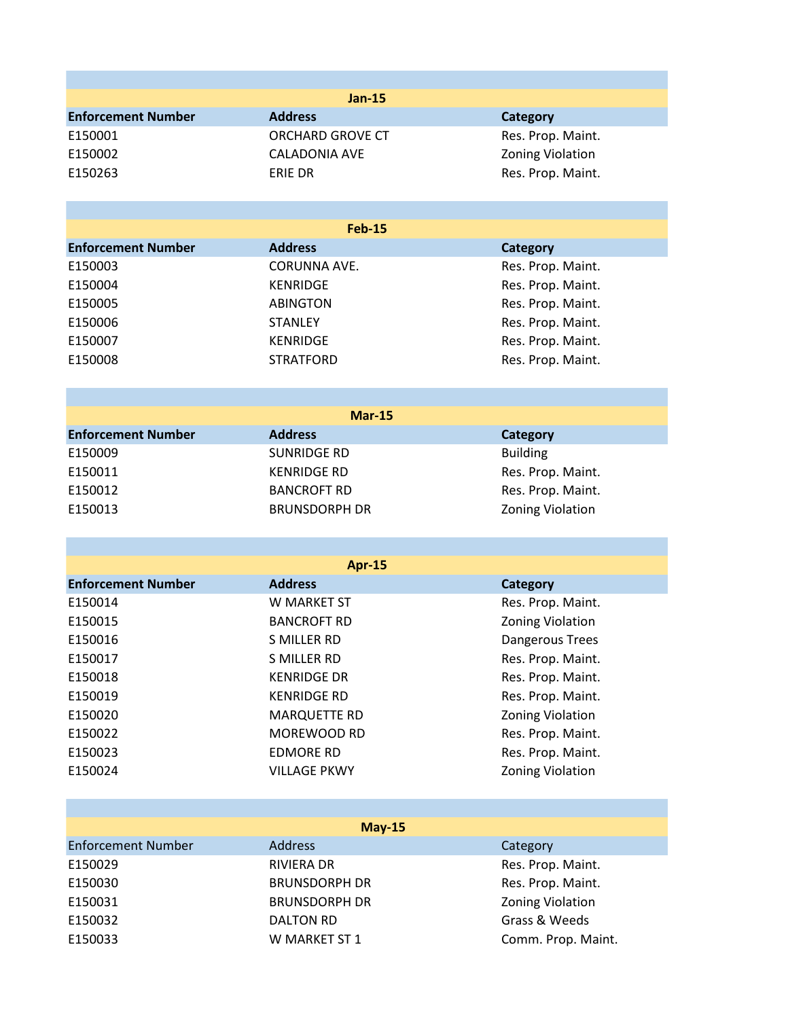|                           | <b>Jan-15</b>           |                         |
|---------------------------|-------------------------|-------------------------|
| <b>Enforcement Number</b> | <b>Address</b>          | <b>Category</b>         |
| E150001                   | <b>ORCHARD GROVE CT</b> | Res. Prop. Maint.       |
| E150002                   | <b>CALADONIA AVE</b>    | Zoning Violation        |
| E150263                   | ERIE DR                 | Res. Prop. Maint.       |
|                           |                         |                         |
|                           |                         |                         |
|                           | <b>Feb-15</b>           |                         |
| <b>Enforcement Number</b> | <b>Address</b>          | <b>Category</b>         |
| E150003                   | <b>CORUNNA AVE.</b>     | Res. Prop. Maint.       |
| E150004                   | <b>KENRIDGE</b>         | Res. Prop. Maint.       |
| E150005                   | <b>ABINGTON</b>         | Res. Prop. Maint.       |
| E150006                   | <b>STANLEY</b>          | Res. Prop. Maint.       |
| E150007                   | <b>KENRIDGE</b>         | Res. Prop. Maint.       |
| E150008                   | <b>STRATFORD</b>        | Res. Prop. Maint.       |
|                           |                         |                         |
|                           | <b>Mar-15</b>           |                         |
| <b>Enforcement Number</b> | <b>Address</b>          | <b>Category</b>         |
| E150009                   | <b>SUNRIDGE RD</b>      | <b>Building</b>         |
| E150011                   | <b>KENRIDGE RD</b>      | Res. Prop. Maint.       |
| E150012                   | <b>BANCROFT RD</b>      | Res. Prop. Maint.       |
| E150013                   | <b>BRUNSDORPH DR</b>    | <b>Zoning Violation</b> |
|                           |                         |                         |
|                           |                         |                         |
|                           | <b>Apr-15</b>           |                         |
| <b>Enforcement Number</b> | <b>Address</b>          | <b>Category</b>         |
| E150014                   | W MARKET ST             | Res. Prop. Maint.       |
| E150015                   | <b>BANCROFT RD</b>      | Zoning Violation        |
| E150016                   | <b>S MILLER RD</b>      | Dangerous Trees         |
| E150017                   | S MILLER RD             | Res. Prop. Maint.       |
| E150018                   | <b>KENRIDGE DR</b>      | Res. Prop. Maint.       |
| E150019                   | <b>KENRIDGE RD</b>      | Res. Prop. Maint.       |
| E150020                   | <b>MARQUETTE RD</b>     | <b>Zoning Violation</b> |
| E150022                   | MOREWOOD RD             | Res. Prop. Maint.       |
| E150023                   | <b>EDMORE RD</b>        | Res. Prop. Maint.       |
| E150024                   | <b>VILLAGE PKWY</b>     | Zoning Violation        |
|                           |                         |                         |
|                           | <b>May-15</b>           |                         |
| <b>Enforcement Number</b> | <b>Address</b>          | Category                |
| E150029                   | <b>RIVIERA DR</b>       | Res. Prop. Maint.       |
| E150030                   | <b>BRUNSDORPH DR</b>    | Res. Prop. Maint.       |
| E150031                   | <b>BRUNSDORPH DR</b>    | <b>Zoning Violation</b> |
| E150032                   | <b>DALTON RD</b>        | Grass & Weeds           |
| E150033                   | W MARKET ST 1           | Comm. Prop. Maint.      |
|                           |                         |                         |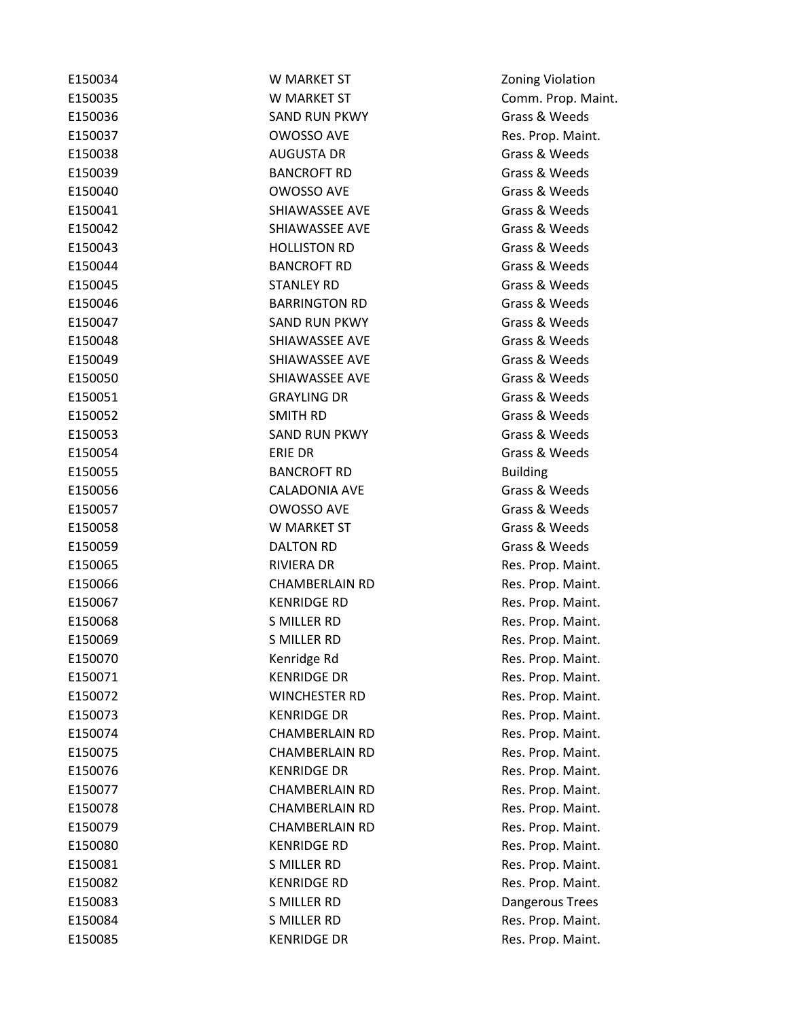| E150034 | W MARKET ST           | <b>Zoning Violation</b> |
|---------|-----------------------|-------------------------|
| E150035 | W MARKET ST           | Comm. Prop. Maint.      |
| E150036 | <b>SAND RUN PKWY</b>  | Grass & Weeds           |
| E150037 | <b>OWOSSO AVE</b>     | Res. Prop. Maint.       |
| E150038 | <b>AUGUSTA DR</b>     | Grass & Weeds           |
| E150039 | <b>BANCROFT RD</b>    | Grass & Weeds           |
| E150040 | OWOSSO AVE            | Grass & Weeds           |
| E150041 | SHIAWASSEE AVE        | Grass & Weeds           |
| E150042 | SHIAWASSEE AVE        | Grass & Weeds           |
| E150043 | <b>HOLLISTON RD</b>   | Grass & Weeds           |
| E150044 | <b>BANCROFT RD</b>    | Grass & Weeds           |
| E150045 | <b>STANLEY RD</b>     | Grass & Weeds           |
| E150046 | <b>BARRINGTON RD</b>  | Grass & Weeds           |
| E150047 | <b>SAND RUN PKWY</b>  | Grass & Weeds           |
| E150048 | SHIAWASSEE AVE        | Grass & Weeds           |
| E150049 | SHIAWASSEE AVE        | Grass & Weeds           |
| E150050 | SHIAWASSEE AVE        | Grass & Weeds           |
| E150051 | <b>GRAYLING DR</b>    | Grass & Weeds           |
| E150052 | SMITH RD              | Grass & Weeds           |
| E150053 | <b>SAND RUN PKWY</b>  | Grass & Weeds           |
| E150054 | ERIE DR               | Grass & Weeds           |
| E150055 | <b>BANCROFT RD</b>    | <b>Building</b>         |
| E150056 | <b>CALADONIA AVE</b>  | Grass & Weeds           |
| E150057 | OWOSSO AVE            | Grass & Weeds           |
| E150058 | W MARKET ST           | Grass & Weeds           |
| E150059 | <b>DALTON RD</b>      | Grass & Weeds           |
| E150065 | RIVIERA DR            | Res. Prop. Maint.       |
| E150066 | <b>CHAMBERLAIN RD</b> | Res. Prop. Maint.       |
| E150067 | <b>KENRIDGE RD</b>    | Res. Prop. Maint.       |
| E150068 | <b>S MILLER RD</b>    | Res. Prop. Maint.       |
| E150069 | <b>S MILLER RD</b>    | Res. Prop. Maint.       |
| E150070 | Kenridge Rd           | Res. Prop. Maint.       |
| E150071 | <b>KENRIDGE DR</b>    | Res. Prop. Maint.       |
| E150072 | <b>WINCHESTER RD</b>  | Res. Prop. Maint.       |
| E150073 | <b>KENRIDGE DR</b>    | Res. Prop. Maint.       |
| E150074 | <b>CHAMBERLAIN RD</b> | Res. Prop. Maint.       |
| E150075 | <b>CHAMBERLAIN RD</b> | Res. Prop. Maint.       |
| E150076 | <b>KENRIDGE DR</b>    | Res. Prop. Maint.       |
| E150077 | <b>CHAMBERLAIN RD</b> | Res. Prop. Maint.       |
| E150078 | <b>CHAMBERLAIN RD</b> | Res. Prop. Maint.       |
| E150079 | <b>CHAMBERLAIN RD</b> | Res. Prop. Maint.       |
| E150080 | <b>KENRIDGE RD</b>    | Res. Prop. Maint.       |
| E150081 | S MILLER RD           | Res. Prop. Maint.       |
| E150082 | <b>KENRIDGE RD</b>    | Res. Prop. Maint.       |
| E150083 | S MILLER RD           | Dangerous Trees         |
| E150084 | S MILLER RD           | Res. Prop. Maint.       |
| E150085 | <b>KENRIDGE DR</b>    | Res. Prop. Maint.       |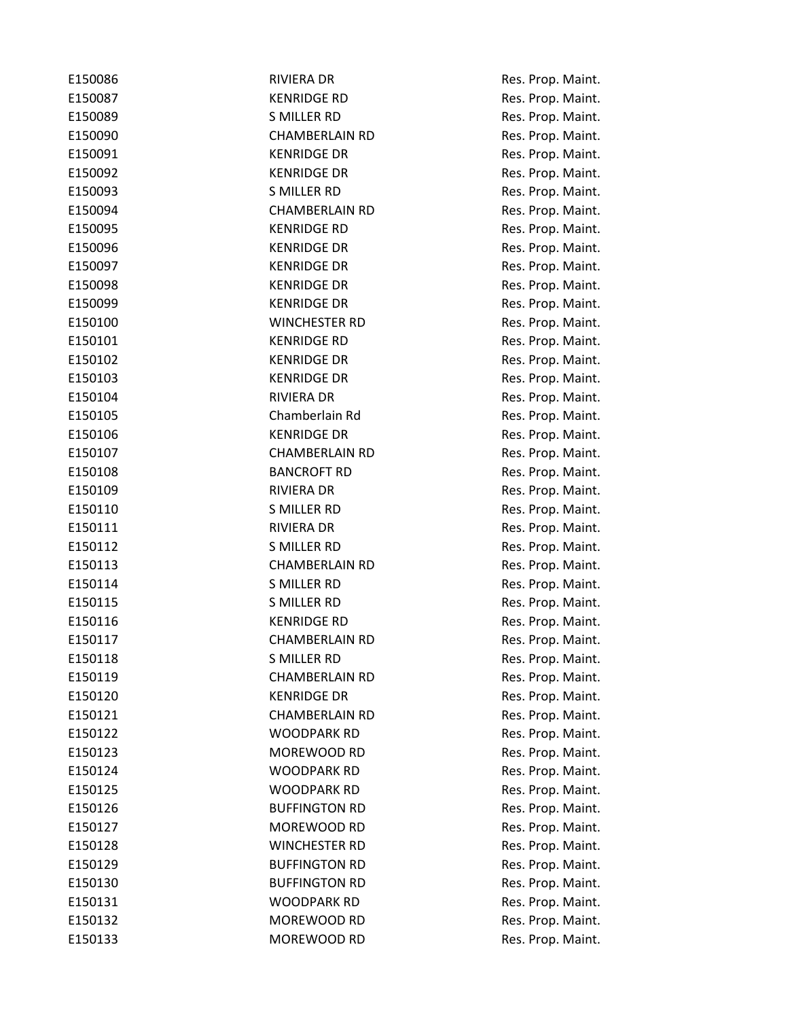| E150086 | <b>RIVIERA DR</b>     | Res. Prop. Maint. |
|---------|-----------------------|-------------------|
| E150087 | <b>KENRIDGE RD</b>    | Res. Prop. Maint. |
| E150089 | S MILLER RD           | Res. Prop. Maint. |
| E150090 | <b>CHAMBERLAIN RD</b> | Res. Prop. Maint. |
| E150091 | <b>KENRIDGE DR</b>    | Res. Prop. Maint. |
| E150092 | <b>KENRIDGE DR</b>    | Res. Prop. Maint. |
| E150093 | S MILLER RD           | Res. Prop. Maint. |
| E150094 | <b>CHAMBERLAIN RD</b> | Res. Prop. Maint. |
| E150095 | <b>KENRIDGE RD</b>    | Res. Prop. Maint. |
| E150096 | <b>KENRIDGE DR</b>    | Res. Prop. Maint. |
| E150097 | <b>KENRIDGE DR</b>    | Res. Prop. Maint. |
| E150098 | <b>KENRIDGE DR</b>    | Res. Prop. Maint. |
| E150099 | <b>KENRIDGE DR</b>    | Res. Prop. Maint. |
| E150100 | <b>WINCHESTER RD</b>  | Res. Prop. Maint. |
| E150101 | <b>KENRIDGE RD</b>    | Res. Prop. Maint. |
| E150102 | <b>KENRIDGE DR</b>    | Res. Prop. Maint. |
| E150103 | <b>KENRIDGE DR</b>    | Res. Prop. Maint. |
| E150104 | RIVIERA DR            | Res. Prop. Maint. |
| E150105 | Chamberlain Rd        | Res. Prop. Maint. |
| E150106 | <b>KENRIDGE DR</b>    | Res. Prop. Maint. |
| E150107 | <b>CHAMBERLAIN RD</b> | Res. Prop. Maint. |
| E150108 | <b>BANCROFT RD</b>    | Res. Prop. Maint. |
| E150109 | RIVIERA DR            | Res. Prop. Maint. |
| E150110 | S MILLER RD           | Res. Prop. Maint. |
| E150111 | <b>RIVIERA DR</b>     | Res. Prop. Maint. |
| E150112 | S MILLER RD           | Res. Prop. Maint. |
| E150113 | <b>CHAMBERLAIN RD</b> | Res. Prop. Maint. |
| E150114 | S MILLER RD           | Res. Prop. Maint. |
| E150115 | S MILLER RD           | Res. Prop. Maint. |
| E150116 | KENRIDGE RD           | Res. Prop. Maint. |
| E150117 | <b>CHAMBERLAIN RD</b> | Res. Prop. Maint. |
| E150118 | <b>S MILLER RD</b>    | Res. Prop. Maint. |
| E150119 | <b>CHAMBERLAIN RD</b> | Res. Prop. Maint. |
| E150120 | <b>KENRIDGE DR</b>    | Res. Prop. Maint. |
| E150121 | <b>CHAMBERLAIN RD</b> | Res. Prop. Maint. |
| E150122 | <b>WOODPARK RD</b>    | Res. Prop. Maint. |
| E150123 | MOREWOOD RD           | Res. Prop. Maint. |
| E150124 | <b>WOODPARK RD</b>    | Res. Prop. Maint. |
| E150125 | <b>WOODPARK RD</b>    | Res. Prop. Maint. |
| E150126 | <b>BUFFINGTON RD</b>  | Res. Prop. Maint. |
| E150127 | MOREWOOD RD           | Res. Prop. Maint. |
| E150128 | <b>WINCHESTER RD</b>  | Res. Prop. Maint. |
| E150129 | <b>BUFFINGTON RD</b>  | Res. Prop. Maint. |
| E150130 | <b>BUFFINGTON RD</b>  | Res. Prop. Maint. |
| E150131 | <b>WOODPARK RD</b>    | Res. Prop. Maint. |
| E150132 | MOREWOOD RD           | Res. Prop. Maint. |
| E150133 | MOREWOOD RD           | Res. Prop. Maint. |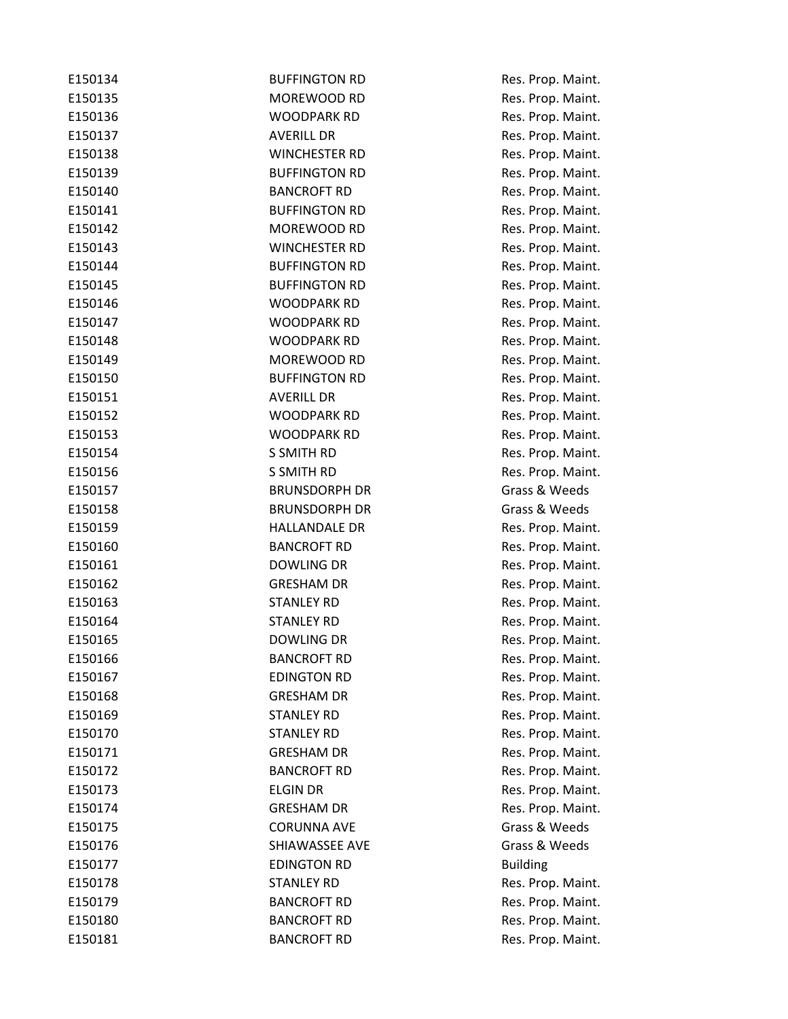| E150134 | <b>BUFFINGTON RD</b> | Res. Prop. Maint. |
|---------|----------------------|-------------------|
| E150135 | <b>MOREWOOD RD</b>   | Res. Prop. Maint. |
| E150136 | <b>WOODPARK RD</b>   | Res. Prop. Maint. |
| E150137 | <b>AVERILL DR</b>    | Res. Prop. Maint. |
| E150138 | <b>WINCHESTER RD</b> | Res. Prop. Maint. |
| E150139 | <b>BUFFINGTON RD</b> | Res. Prop. Maint. |
| E150140 | <b>BANCROFT RD</b>   | Res. Prop. Maint. |
| E150141 | <b>BUFFINGTON RD</b> | Res. Prop. Maint. |
| E150142 | MOREWOOD RD          | Res. Prop. Maint. |
| E150143 | <b>WINCHESTER RD</b> | Res. Prop. Maint. |
| E150144 | <b>BUFFINGTON RD</b> | Res. Prop. Maint. |
| E150145 | <b>BUFFINGTON RD</b> | Res. Prop. Maint. |
| E150146 | WOODPARK RD          | Res. Prop. Maint. |
| E150147 | <b>WOODPARK RD</b>   | Res. Prop. Maint. |
| E150148 | <b>WOODPARK RD</b>   | Res. Prop. Maint. |
| E150149 | MOREWOOD RD          | Res. Prop. Maint. |
| E150150 | <b>BUFFINGTON RD</b> | Res. Prop. Maint. |
| E150151 | <b>AVERILL DR</b>    | Res. Prop. Maint. |
| E150152 | <b>WOODPARK RD</b>   | Res. Prop. Maint. |
| E150153 | <b>WOODPARK RD</b>   | Res. Prop. Maint. |
| E150154 | <b>S SMITH RD</b>    | Res. Prop. Maint. |
| E150156 | S SMITH RD           | Res. Prop. Maint. |
| E150157 | <b>BRUNSDORPH DR</b> | Grass & Weeds     |
| E150158 | <b>BRUNSDORPH DR</b> | Grass & Weeds     |
| E150159 | <b>HALLANDALE DR</b> | Res. Prop. Maint. |
| E150160 | <b>BANCROFT RD</b>   | Res. Prop. Maint. |
| E150161 | DOWLING DR           | Res. Prop. Maint. |
| E150162 | <b>GRESHAM DR</b>    | Res. Prop. Maint. |
| E150163 | <b>STANLEY RD</b>    | Res. Prop. Maint. |
| E150164 | <b>STANLEY RD</b>    | Res. Prop. Maint. |
| E150165 | <b>DOWLING DR</b>    | Res. Prop. Maint. |
| E150166 | <b>BANCROFT RD</b>   | Res. Prop. Maint. |
| E150167 | <b>EDINGTON RD</b>   | Res. Prop. Maint. |
| E150168 | <b>GRESHAM DR</b>    | Res. Prop. Maint. |
| E150169 | <b>STANLEY RD</b>    | Res. Prop. Maint. |
| E150170 | <b>STANLEY RD</b>    | Res. Prop. Maint. |
| E150171 | <b>GRESHAM DR</b>    | Res. Prop. Maint. |
| E150172 | <b>BANCROFT RD</b>   | Res. Prop. Maint. |
| E150173 | <b>ELGIN DR</b>      | Res. Prop. Maint. |
| E150174 | <b>GRESHAM DR</b>    | Res. Prop. Maint. |
| E150175 | <b>CORUNNA AVE</b>   | Grass & Weeds     |
| E150176 | SHIAWASSEE AVE       | Grass & Weeds     |
| E150177 | <b>EDINGTON RD</b>   | <b>Building</b>   |
| E150178 | <b>STANLEY RD</b>    | Res. Prop. Maint. |
| E150179 | <b>BANCROFT RD</b>   | Res. Prop. Maint. |
| E150180 | <b>BANCROFT RD</b>   | Res. Prop. Maint. |
| E150181 | <b>BANCROFT RD</b>   | Res. Prop. Maint. |
|         |                      |                   |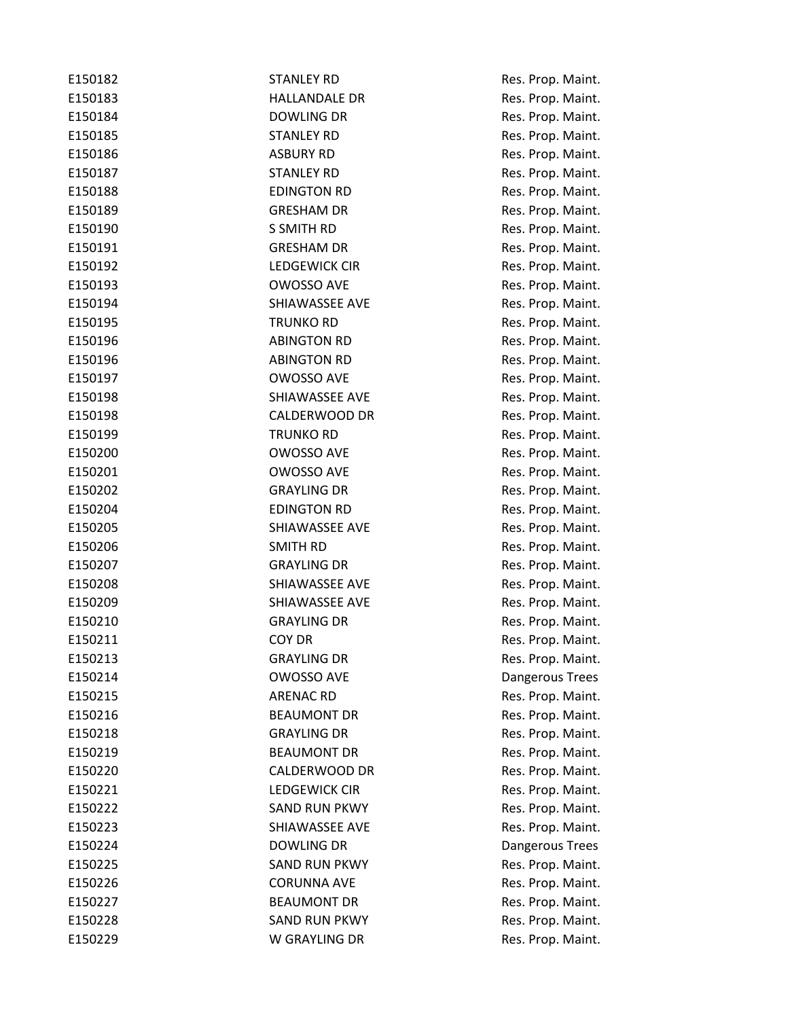| E150182 | <b>STANLEY RD</b>    | Res. Prop. Maint. |
|---------|----------------------|-------------------|
| E150183 | <b>HALLANDALE DR</b> | Res. Prop. Maint. |
| E150184 | <b>DOWLING DR</b>    | Res. Prop. Maint. |
| E150185 | <b>STANLEY RD</b>    | Res. Prop. Maint. |
| E150186 | <b>ASBURY RD</b>     | Res. Prop. Maint. |
| E150187 | <b>STANLEY RD</b>    | Res. Prop. Maint. |
| E150188 | <b>EDINGTON RD</b>   | Res. Prop. Maint. |
| E150189 | <b>GRESHAM DR</b>    | Res. Prop. Maint. |
| E150190 | S SMITH RD           | Res. Prop. Maint. |
| E150191 | <b>GRESHAM DR</b>    | Res. Prop. Maint. |
| E150192 | LEDGEWICK CIR        | Res. Prop. Maint. |
| E150193 | OWOSSO AVE           | Res. Prop. Maint. |
| E150194 | SHIAWASSEE AVE       | Res. Prop. Maint. |
| E150195 | <b>TRUNKO RD</b>     | Res. Prop. Maint. |
| E150196 | <b>ABINGTON RD</b>   | Res. Prop. Maint. |
| E150196 | <b>ABINGTON RD</b>   | Res. Prop. Maint. |
| E150197 | OWOSSO AVE           | Res. Prop. Maint. |
| E150198 | SHIAWASSEE AVE       | Res. Prop. Maint. |
| E150198 | CALDERWOOD DR        | Res. Prop. Maint. |
| E150199 | <b>TRUNKO RD</b>     | Res. Prop. Maint. |
| E150200 | OWOSSO AVE           | Res. Prop. Maint. |
| E150201 | <b>OWOSSO AVE</b>    | Res. Prop. Maint. |
| E150202 | <b>GRAYLING DR</b>   | Res. Prop. Maint. |
| E150204 | <b>EDINGTON RD</b>   | Res. Prop. Maint. |
| E150205 | SHIAWASSEE AVE       | Res. Prop. Maint. |
| E150206 | <b>SMITH RD</b>      | Res. Prop. Maint. |
| E150207 | <b>GRAYLING DR</b>   | Res. Prop. Maint. |
| E150208 | SHIAWASSEE AVE       | Res. Prop. Maint. |
| E150209 | SHIAWASSEE AVE       | Res. Prop. Maint. |
| E150210 | <b>GRAYLING DR</b>   | Res. Prop. Maint. |
| E150211 | COY DR               | Res. Prop. Maint. |
| E150213 | <b>GRAYLING DR</b>   | Res. Prop. Maint. |
| E150214 | <b>OWOSSO AVE</b>    | Dangerous Trees   |
| E150215 | <b>ARENAC RD</b>     | Res. Prop. Maint. |
| E150216 | <b>BEAUMONT DR</b>   | Res. Prop. Maint. |
| E150218 | <b>GRAYLING DR</b>   | Res. Prop. Maint. |
| E150219 | <b>BEAUMONT DR</b>   | Res. Prop. Maint. |
| E150220 | CALDERWOOD DR        | Res. Prop. Maint. |
| E150221 | <b>LEDGEWICK CIR</b> | Res. Prop. Maint. |
| E150222 | <b>SAND RUN PKWY</b> | Res. Prop. Maint. |
| E150223 | SHIAWASSEE AVE       | Res. Prop. Maint. |
| E150224 | <b>DOWLING DR</b>    | Dangerous Trees   |
| E150225 | <b>SAND RUN PKWY</b> | Res. Prop. Maint. |
| E150226 | <b>CORUNNA AVE</b>   | Res. Prop. Maint. |
| E150227 | <b>BEAUMONT DR</b>   | Res. Prop. Maint. |
| E150228 | <b>SAND RUN PKWY</b> | Res. Prop. Maint. |
| E150229 | W GRAYLING DR        | Res. Prop. Maint. |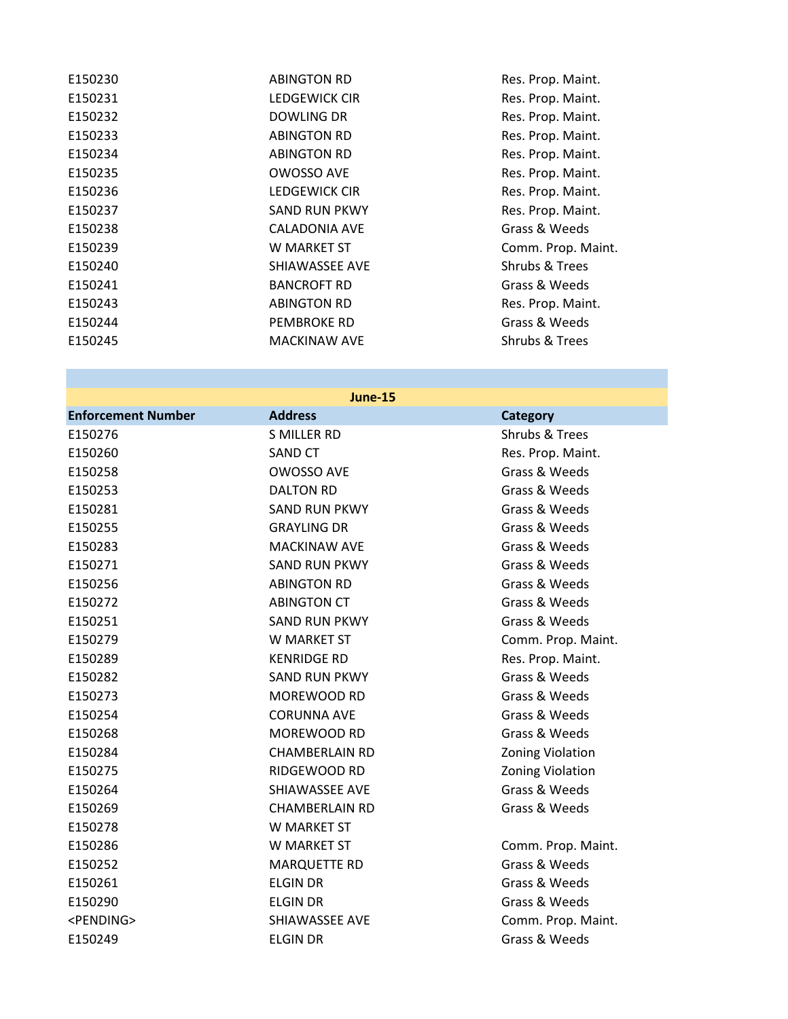| E150230 | <b>ABINGTON RD</b>  |
|---------|---------------------|
| E150231 | LEDGEWICK CIR       |
| E150232 | DOWLING DR          |
| E150233 | <b>ABINGTON RD</b>  |
| E150234 | <b>ABINGTON RD</b>  |
| E150235 | OWOSSO AVE          |
| E150236 | LEDGEWICK CIR       |
| E150237 | SAND RUN PKWY       |
| E150238 | CALADONIA AVF       |
| E150239 | W MARKFT ST         |
| E150240 | SHIAWASSEE AVE      |
| E150241 | <b>BANCROFT RD</b>  |
| E150243 | <b>ABINGTON RD</b>  |
| E150244 | <b>PEMBROKE RD</b>  |
| E150245 | <b>MACKINAW AVF</b> |
|         |                     |

Res. Prop. Maint. Res. Prop. Maint. Res. Prop. Maint. Res. Prop. Maint. Res. Prop. Maint. Res. Prop. Maint. Res. Prop. Maint. Res. Prop. Maint. Grass & Weeds Comm. Prop. Maint. Shrubs & Trees Grass & Weeds Res. Prop. Maint. Grass & Weeds Shrubs & Trees

## **June-15**

| <b>Enforcement Number</b> | <b>Address</b>        | <b>Category</b>         |
|---------------------------|-----------------------|-------------------------|
| E150276                   | <b>S MILLER RD</b>    | Shrubs & Trees          |
| E150260                   | <b>SAND CT</b>        | Res. Prop. Maint.       |
| E150258                   | OWOSSO AVE            | Grass & Weeds           |
| E150253                   | <b>DALTON RD</b>      | Grass & Weeds           |
| E150281                   | <b>SAND RUN PKWY</b>  | Grass & Weeds           |
| E150255                   | <b>GRAYLING DR</b>    | Grass & Weeds           |
| E150283                   | <b>MACKINAW AVE</b>   | Grass & Weeds           |
| E150271                   | <b>SAND RUN PKWY</b>  | Grass & Weeds           |
| E150256                   | <b>ABINGTON RD</b>    | Grass & Weeds           |
| E150272                   | <b>ABINGTON CT</b>    | Grass & Weeds           |
| E150251                   | <b>SAND RUN PKWY</b>  | Grass & Weeds           |
| E150279                   | W MARKET ST           | Comm. Prop. Maint.      |
| E150289                   | <b>KENRIDGE RD</b>    | Res. Prop. Maint.       |
| E150282                   | <b>SAND RUN PKWY</b>  | Grass & Weeds           |
| E150273                   | MOREWOOD RD           | Grass & Weeds           |
| E150254                   | <b>CORUNNA AVE</b>    | Grass & Weeds           |
| E150268                   | MOREWOOD RD           | Grass & Weeds           |
| E150284                   | <b>CHAMBERLAIN RD</b> | <b>Zoning Violation</b> |
| E150275                   | RIDGEWOOD RD          | <b>Zoning Violation</b> |
| E150264                   | SHIAWASSEE AVE        | Grass & Weeds           |
| E150269                   | <b>CHAMBERLAIN RD</b> | Grass & Weeds           |
| E150278                   | W MARKET ST           |                         |
| E150286                   | W MARKET ST           | Comm. Prop. Maint.      |
| E150252                   | <b>MARQUETTE RD</b>   | Grass & Weeds           |
| E150261                   | <b>ELGIN DR</b>       | Grass & Weeds           |
| E150290                   | <b>ELGIN DR</b>       | Grass & Weeds           |
| <pending></pending>       | SHIAWASSEE AVE        | Comm. Prop. Maint.      |
| E150249                   | <b>ELGIN DR</b>       | Grass & Weeds           |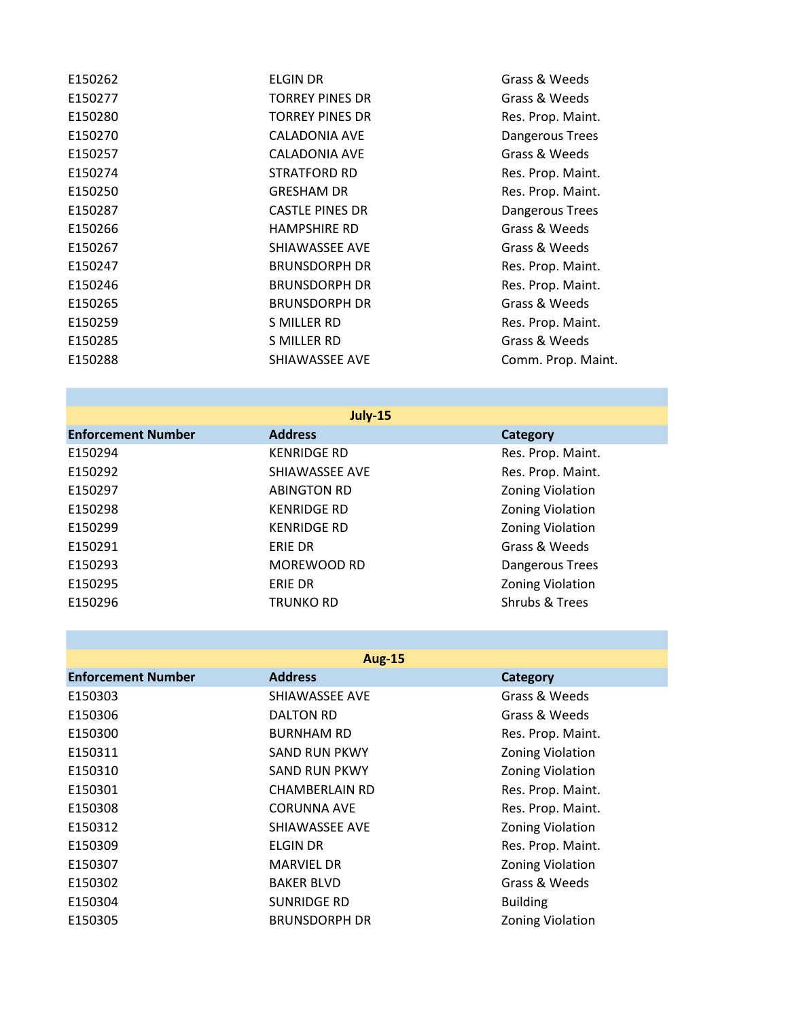| E150262 | ELGIN DR               | Grass & Weeds      |
|---------|------------------------|--------------------|
| E150277 | <b>TORREY PINES DR</b> | Grass & Weeds      |
| E150280 | <b>TORREY PINES DR</b> | Res. Prop. Maint.  |
| E150270 | <b>CALADONIA AVE</b>   | Dangerous Trees    |
| E150257 | <b>CALADONIA AVE</b>   | Grass & Weeds      |
| E150274 | <b>STRATFORD RD</b>    | Res. Prop. Maint.  |
| E150250 | <b>GRESHAM DR</b>      | Res. Prop. Maint.  |
| E150287 | <b>CASTLE PINES DR</b> | Dangerous Trees    |
| E150266 | <b>HAMPSHIRE RD</b>    | Grass & Weeds      |
| E150267 | SHIAWASSEE AVE         | Grass & Weeds      |
| E150247 | <b>BRUNSDORPH DR</b>   | Res. Prop. Maint.  |
| E150246 | <b>BRUNSDORPH DR</b>   | Res. Prop. Maint.  |
| E150265 | <b>BRUNSDORPH DR</b>   | Grass & Weeds      |
| E150259 | S MILLER RD            | Res. Prop. Maint.  |
| E150285 | S MILLER RD            | Grass & Weeds      |
| E150288 | SHIAWASSEE AVE         | Comm. Prop. Maint. |
|         |                        |                    |

| <b>July-15</b>            |                    |                         |
|---------------------------|--------------------|-------------------------|
| <b>Enforcement Number</b> | <b>Address</b>     | Category                |
| E150294                   | <b>KENRIDGE RD</b> | Res. Prop. Maint.       |
| E150292                   | SHIAWASSEE AVE     | Res. Prop. Maint.       |
| E150297                   | <b>ABINGTON RD</b> | Zoning Violation        |
| E150298                   | <b>KENRIDGE RD</b> | <b>Zoning Violation</b> |
| E150299                   | <b>KENRIDGE RD</b> | <b>Zoning Violation</b> |
| E150291                   | ERIE DR            | Grass & Weeds           |
| E150293                   | MOREWOOD RD        | Dangerous Trees         |
| E150295                   | <b>ERIE DR</b>     | Zoning Violation        |
| E150296                   | <b>TRUNKO RD</b>   | Shrubs & Trees          |

|                           | <b>Aug-15</b>         |                         |
|---------------------------|-----------------------|-------------------------|
| <b>Enforcement Number</b> | <b>Address</b>        | <b>Category</b>         |
| E150303                   | SHIAWASSEE AVE        | Grass & Weeds           |
| E150306                   | <b>DALTON RD</b>      | Grass & Weeds           |
| E150300                   | <b>BURNHAM RD</b>     | Res. Prop. Maint.       |
| E150311                   | <b>SAND RUN PKWY</b>  | <b>Zoning Violation</b> |
| E150310                   | <b>SAND RUN PKWY</b>  | <b>Zoning Violation</b> |
| E150301                   | <b>CHAMBERLAIN RD</b> | Res. Prop. Maint.       |
| E150308                   | <b>CORUNNA AVE</b>    | Res. Prop. Maint.       |
| E150312                   | SHIAWASSEE AVE        | <b>Zoning Violation</b> |
| E150309                   | <b>ELGIN DR</b>       | Res. Prop. Maint.       |
| E150307                   | <b>MARVIEL DR</b>     | <b>Zoning Violation</b> |
| E150302                   | <b>BAKER BLVD</b>     | Grass & Weeds           |
| E150304                   | <b>SUNRIDGE RD</b>    | <b>Building</b>         |
| E150305                   | <b>BRUNSDORPH DR</b>  | <b>Zoning Violation</b> |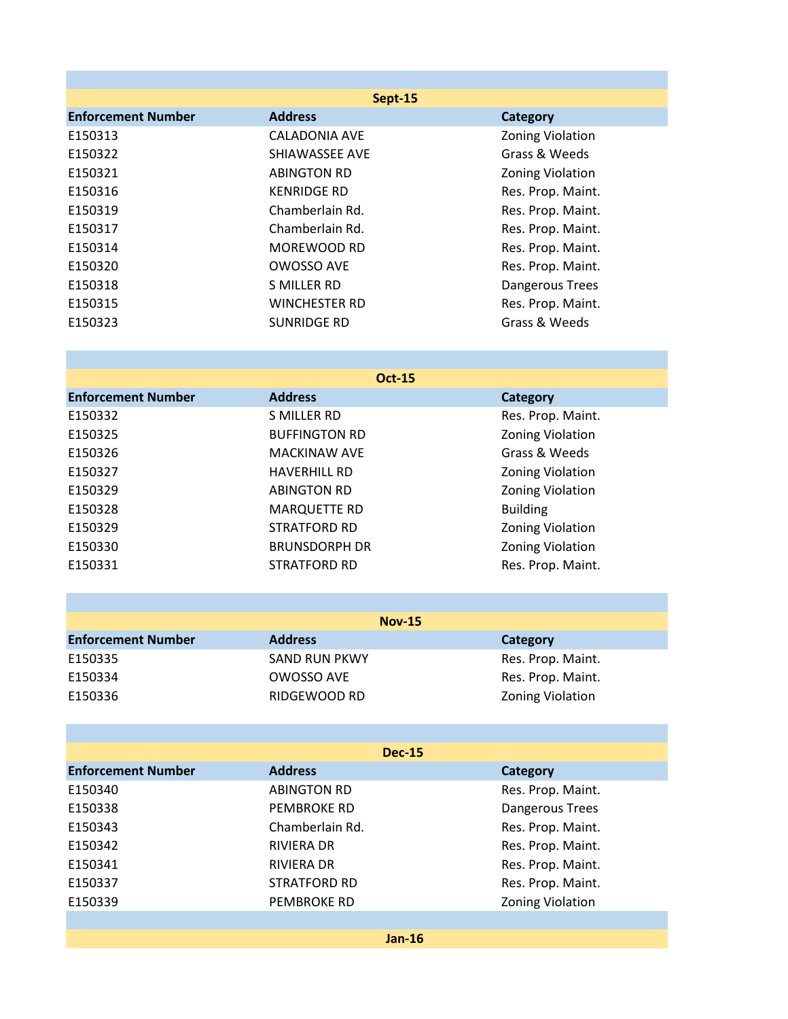| Sept-15                   |                      |                         |
|---------------------------|----------------------|-------------------------|
| <b>Enforcement Number</b> | <b>Address</b>       | <b>Category</b>         |
| E150313                   | <b>CALADONIA AVE</b> | <b>Zoning Violation</b> |
| E150322                   | SHIAWASSEE AVE       | Grass & Weeds           |
| E150321                   | <b>ABINGTON RD</b>   | <b>Zoning Violation</b> |
| E150316                   | <b>KENRIDGE RD</b>   | Res. Prop. Maint.       |
| E150319                   | Chamberlain Rd.      | Res. Prop. Maint.       |
| E150317                   | Chamberlain Rd.      | Res. Prop. Maint.       |
| E150314                   | MOREWOOD RD          | Res. Prop. Maint.       |
| E150320                   | OWOSSO AVE           | Res. Prop. Maint.       |
| E150318                   | S MILLER RD          | Dangerous Trees         |
| E150315                   | <b>WINCHESTER RD</b> | Res. Prop. Maint.       |
| E150323                   | SUNRIDGE RD          | Grass & Weeds           |

| <b>Oct-15</b>        |                         |  |
|----------------------|-------------------------|--|
| <b>Address</b>       | Category                |  |
| S MILLER RD          | Res. Prop. Maint.       |  |
| <b>BUFFINGTON RD</b> | Zoning Violation        |  |
| <b>MACKINAW AVE</b>  | Grass & Weeds           |  |
| <b>HAVERHILL RD</b>  | Zoning Violation        |  |
| <b>ABINGTON RD</b>   | Zoning Violation        |  |
| <b>MARQUETTE RD</b>  | <b>Building</b>         |  |
| <b>STRATFORD RD</b>  | <b>Zoning Violation</b> |  |
| <b>BRUNSDORPH DR</b> | Zoning Violation        |  |
| <b>STRATFORD RD</b>  | Res. Prop. Maint.       |  |
|                      |                         |  |

|                           | <b>Nov-15</b>        |                         |
|---------------------------|----------------------|-------------------------|
| <b>Enforcement Number</b> | <b>Address</b>       | Category                |
| E150335                   | <b>SAND RUN PKWY</b> | Res. Prop. Maint.       |
| E150334                   | OWOSSO AVE           | Res. Prop. Maint.       |
| E150336                   | RIDGEWOOD RD         | <b>Zoning Violation</b> |

|                           | <b>Dec-15</b>       |                         |
|---------------------------|---------------------|-------------------------|
| <b>Enforcement Number</b> | <b>Address</b>      | Category                |
| E150340                   | <b>ABINGTON RD</b>  | Res. Prop. Maint.       |
| E150338                   | PEMBROKE RD         | Dangerous Trees         |
| E150343                   | Chamberlain Rd.     | Res. Prop. Maint.       |
| E150342                   | RIVIERA DR          | Res. Prop. Maint.       |
| E150341                   | <b>RIVIERA DR</b>   | Res. Prop. Maint.       |
| E150337                   | <b>STRATFORD RD</b> | Res. Prop. Maint.       |
| E150339                   | PEMBROKE RD         | <b>Zoning Violation</b> |
|                           |                     |                         |

**Jan-16**